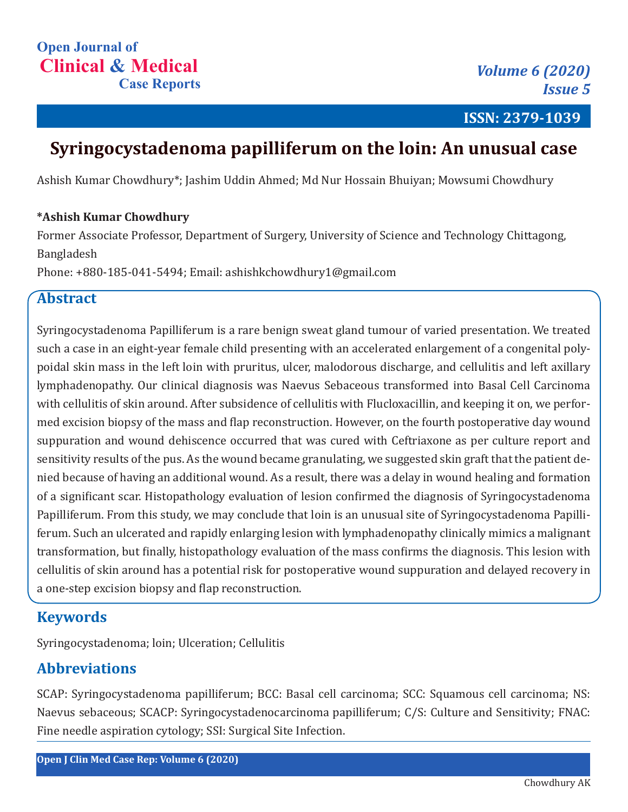**ISSN: 2379-1039**

# **Syringocystadenoma papilliferum on the loin: An unusual case**

Ashish Kumar Chowdhury\*; Jashim Uddin Ahmed; Md Nur Hossain Bhuiyan; Mowsumi Chowdhury

#### **\*Ashish Kumar Chowdhury**

Former Associate Professor, Department of Surgery, University of Science and Technology Chittagong, Bangladesh

Phone: +880-185-041-5494; Email: ashishkchowdhury1@gmail.com

#### **Abstract**

Syringocystadenoma Papilliferum is a rare benign sweat gland tumour of varied presentation. We treated such a case in an eight-year female child presenting with an accelerated enlargement of a congenital polypoidal skin mass in the left loin with pruritus, ulcer, malodorous discharge, and cellulitis and left axillary lymphadenopathy. Our clinical diagnosis was Naevus Sebaceous transformed into Basal Cell Carcinoma with cellulitis of skin around. After subsidence of cellulitis with Flucloxacillin, and keeping it on, we performed excision biopsy of the mass and flap reconstruction. However, on the fourth postoperative day wound suppuration and wound dehiscence occurred that was cured with Ceftriaxone as per culture report and sensitivity results of the pus. As the wound became granulating, we suggested skin graft that the patient denied because of having an additional wound. As a result, there was a delay in wound healing and formation of a significant scar. Histopathology evaluation of lesion confirmed the diagnosis of Syringocystadenoma Papilliferum. From this study, we may conclude that loin is an unusual site of Syringocystadenoma Papilliferum. Such an ulcerated and rapidly enlarging lesion with lymphadenopathy clinically mimics a malignant transformation, but finally, histopathology evaluation of the mass confirms the diagnosis. This lesion with cellulitis of skin around has a potential risk for postoperative wound suppuration and delayed recovery in a one-step excision biopsy and flap reconstruction.

## **Keywords**

Syringocystadenoma; loin; Ulceration; Cellulitis

## **Abbreviations**

SCAP: Syringocystadenoma papilliferum; BCC: Basal cell carcinoma; SCC: Squamous cell carcinoma; NS: Naevus sebaceous; SCACP: Syringocystadenocarcinoma papilliferum; C/S: Culture and Sensitivity; FNAC: Fine needle aspiration cytology; SSI: Surgical Site Infection.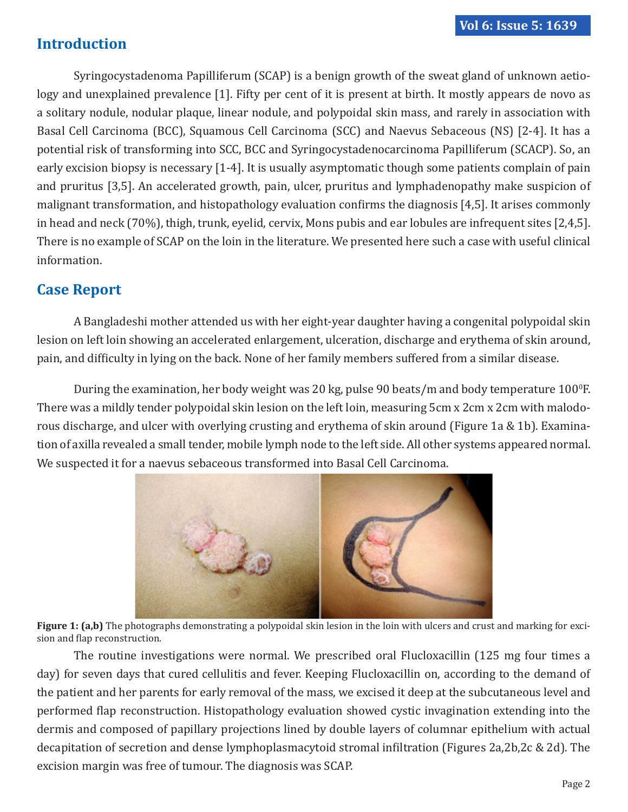# **Introduction**

Syringocystadenoma Papilliferum (SCAP) is a benign growth of the sweat gland of unknown aetiology and unexplained prevalence [1]. Fifty per cent of it is present at birth. It mostly appears de novo as a solitary nodule, nodular plaque, linear nodule, and polypoidal skin mass, and rarely in association with Basal Cell Carcinoma (BCC), Squamous Cell Carcinoma (SCC) and Naevus Sebaceous (NS) [2-4]. It has a potential risk of transforming into SCC, BCC and Syringocystadenocarcinoma Papilliferum (SCACP). So, an early excision biopsy is necessary [1-4]. It is usually asymptomatic though some patients complain of pain and pruritus [3,5]. An accelerated growth, pain, ulcer, pruritus and lymphadenopathy make suspicion of malignant transformation, and histopathology evaluation confirms the diagnosis [4,5]. It arises commonly in head and neck (70%), thigh, trunk, eyelid, cervix, Mons pubis and ear lobules are infrequent sites [2,4,5]. There is no example of SCAP on the loin in the literature. We presented here such a case with useful clinical information.

## **Case Report**

A Bangladeshi mother attended us with her eight-year daughter having a congenital polypoidal skin lesion on left loin showing an accelerated enlargement, ulceration, discharge and erythema of skin around, pain, and difficulty in lying on the back. None of her family members suffered from a similar disease.

During the examination, her body weight was 20 kg, pulse 90 beats/m and body temperature  $100^{\circ}$ F. There was a mildly tender polypoidal skin lesion on the left loin, measuring 5cm x 2cm x 2cm with malodorous discharge, and ulcer with overlying crusting and erythema of skin around (Figure 1a & 1b). Examination of axilla revealed a small tender, mobile lymph node to the left side. All other systems appeared normal. We suspected it for a naevus sebaceous transformed into Basal Cell Carcinoma.



**Figure 1:** (a,b) The photographs demonstrating a polypoidal skin lesion in the loin with ulcers and crust and marking for excision and flap reconstruction.

The routine investigations were normal. We prescribed oral Flucloxacillin (125 mg four times a day) for seven days that cured cellulitis and fever. Keeping Flucloxacillin on, according to the demand of the patient and her parents for early removal of the mass, we excised it deep at the subcutaneous level and performed flap reconstruction. Histopathology evaluation showed cystic invagination extending into the dermis and composed of papillary projections lined by double layers of columnar epithelium with actual decapitation of secretion and dense lymphoplasmacytoid stromal infiltration (Figures 2a,2b,2c & 2d). The excision margin was free of tumour. The diagnosis was SCAP.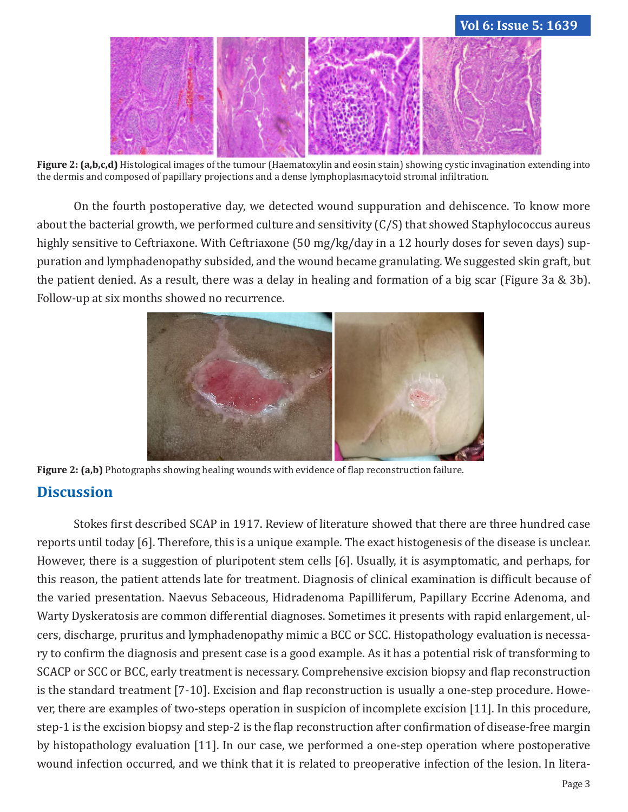

**Figure 2: (a,b,c,d)** Histological images of the tumour (Haematoxylin and eosin stain) showing cystic invagination extending into the dermis and composed of papillary projections and a dense lymphoplasmacytoid stromal infiltration.

On the fourth postoperative day, we detected wound suppuration and dehiscence. To know more about the bacterial growth, we performed culture and sensitivity (C/S) that showed Staphylococcus aureus highly sensitive to Ceftriaxone. With Ceftriaxone (50 mg/kg/day in a 12 hourly doses for seven days) suppuration and lymphadenopathy subsided, and the wound became granulating. We suggested skin graft, but the patient denied. As a result, there was a delay in healing and formation of a big scar (Figure 3a & 3b). Follow-up at six months showed no recurrence.



**Figure 2: (a,b)** Photographs showing healing wounds with evidence of flap reconstruction failure.

## **Discussion**

Stokes first described SCAP in 1917. Review of literature showed that there are three hundred case reports until today [6]. Therefore, this is a unique example. The exact histogenesis of the disease is unclear. However, there is a suggestion of pluripotent stem cells [6]. Usually, it is asymptomatic, and perhaps, for this reason, the patient attends late for treatment. Diagnosis of clinical examination is difficult because of the varied presentation. Naevus Sebaceous, Hidradenoma Papilliferum, Papillary Eccrine Adenoma, and Warty Dyskeratosis are common differential diagnoses. Sometimes it presents with rapid enlargement, ulcers, discharge, pruritus and lymphadenopathy mimic a BCC or SCC. Histopathology evaluation is necessary to confirm the diagnosis and present case is a good example. As it has a potential risk of transforming to SCACP or SCC or BCC, early treatment is necessary. Comprehensive excision biopsy and flap reconstruction is the standard treatment [7-10]. Excision and flap reconstruction is usually a one-step procedure. However, there are examples of two-steps operation in suspicion of incomplete excision [11]. In this procedure, step-1 is the excision biopsy and step-2 is the flap reconstruction after confirmation of disease-free margin by histopathology evaluation [11]. In our case, we performed a one-step operation where postoperative wound infection occurred, and we think that it is related to preoperative infection of the lesion. In litera-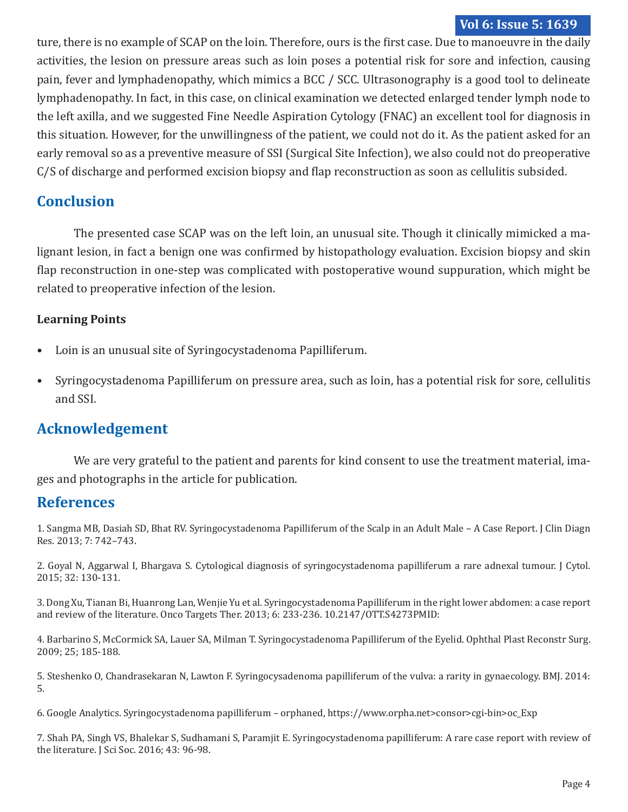#### **Vol 6: Issue 5: 1639**

ture, there is no example of SCAP on the loin. Therefore, ours is the first case. Due to manoeuvre in the daily activities, the lesion on pressure areas such as loin poses a potential risk for sore and infection, causing pain, fever and lymphadenopathy, which mimics a BCC / SCC. Ultrasonography is a good tool to delineate lymphadenopathy. In fact, in this case, on clinical examination we detected enlarged tender lymph node to the left axilla, and we suggested Fine Needle Aspiration Cytology (FNAC) an excellent tool for diagnosis in this situation. However, for the unwillingness of the patient, we could not do it. As the patient asked for an early removal so as a preventive measure of SSI (Surgical Site Infection), we also could not do preoperative C/S of discharge and performed excision biopsy and flap reconstruction as soon as cellulitis subsided.

## **Conclusion**

The presented case SCAP was on the left loin, an unusual site. Though it clinically mimicked a malignant lesion, in fact a benign one was confirmed by histopathology evaluation. Excision biopsy and skin flap reconstruction in one-step was complicated with postoperative wound suppuration, which might be related to preoperative infection of the lesion.

#### **Learning Points**

- Loin is an unusual site of Syringocystadenoma Papilliferum.
- Syringocystadenoma Papilliferum on pressure area, such as loin, has a potential risk for sore, cellulitis and SSI.

## **Acknowledgement**

We are very grateful to the patient and parents for kind consent to use the treatment material, images and photographs in the article for publication.

#### **References**

1. Sangma MB, Dasiah SD, Bhat RV. Syringocystadenoma Papilliferum of the Scalp in an Adult Male – A Case Report. J Clin Diagn Res. 2013; 7: 742–743.

2. Goyal N, Aggarwal I, Bhargava S. Cytological diagnosis of syringocystadenoma papilliferum a rare adnexal tumour. J Cytol. 2015; 32: 130-131.

3. Dong Xu, Tianan Bi, Huanrong Lan, Wenjie Yu et al. Syringocystadenoma Papilliferum in the right lower abdomen: a case report and review of the literature. Onco Targets Ther. 2013; 6: 233-236. 10.2147/OTT.S4273PMID:

4. Barbarino S, McCormick SA, Lauer SA, Milman T. Syringocystadenoma Papilliferum of the Eyelid. Ophthal Plast Reconstr Surg. 2009; 25; 185-188.

5. Steshenko O, Chandrasekaran N, Lawton F. Syringocysadenoma papilliferum of the vulva: a rarity in gynaecology. BMJ. 2014: 5.

6. Google Analytics. Syringocystadenoma papilliferum – orphaned, https://www.orpha.net>consor>cgi-bin>oc\_Exp

7. Shah PA, Singh VS, Bhalekar S, Sudhamani S, Paramjit E. Syringocystadenoma papilliferum: A rare case report with review of the literature. J Sci Soc. 2016; 43: 96-98.